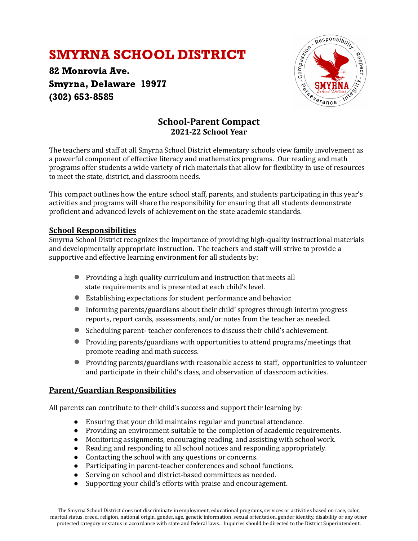# SMYRNA SCHOOL DISTRICT

82 Monrovia Ave. Smyrna, Delaware 19977 (302) 653-8585



### **School-Parent Compact 2021-22 School Year**

The teachers and staff at all Smyrna School District elementary schools view family involvement as a powerful component of effective literacy and mathematics programs. Our reading and math programs offer students a wide variety of rich materials that allow for lexibility in use of resources to meet the state, district, and classroom needs.

This compact outlines how the entire school staff, parents, and students participating in this year's activities and programs will share the responsibility for ensuring that all students demonstrate proficient and advanced levels of achievement on the state academic standards.

### **School Responsibilities**

Smyrna School District recognizes the importance of providing high-quality instructional materials and developmentally appropriate instruction. The teachers and staff will strive to provide a supportive and effective learning environment for all students by:

- Providing a high quality curriculum and instruction that meets all state requirements and is presented at each child's level.
- Establishing expectations for student performance and behavior.
- Informing parents/guardians about their child' sprogres through interim progress reports, report cards, assessments, and/or notes from the teacher as needed.
- Scheduling parent- teacher conferences to discuss their child's achievement.
- Providing parents/guardians with opportunities to attend programs/meetings that promote reading and math success.
- Providing parents/guardians with reasonable access to staff, opportunities to volunteer and participate in their child's class, and observation of classroom activities.

### **Parent/Guardian Responsibilities**

All parents can contribute to their child's success and support their learning by:

- Ensuring that your child maintains regular and punctual attendance.
- Providing an environment suitable to the completion of academic requirements.
- Monitoring assignments, encouraging reading, and assisting with school work.
- Reading and responding to all school notices and responding appropriately.
- Contacting the school with any questions or concerns.
- Participating in parent-teacher conferences and school functions.
- Serving on school and district-based committees as needed.
- Supporting your child's efforts with praise and encouragement.